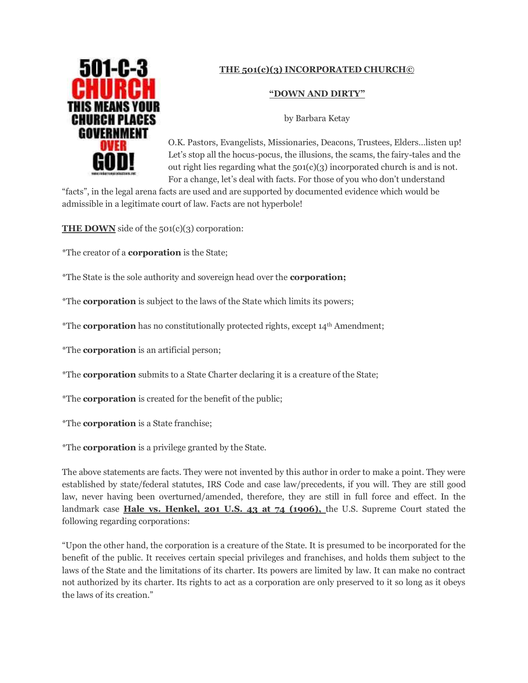## **THE 501(c)(3) INCORPORATED CHURCH©**



## **"DOWN AND DIRTY"**

by Barbara Ketay

O.K. Pastors, Evangelists, Missionaries, Deacons, Trustees, Elders…listen up! Let's stop all the hocus-pocus, the illusions, the scams, the fairy-tales and the out right lies regarding what the  $501(c)(3)$  incorporated church is and is not. For a change, let's deal with facts. For those of you who don't understand

"facts", in the legal arena facts are used and are supported by documented evidence which would be admissible in a legitimate court of law. Facts are not hyperbole!

**THE DOWN** side of the 501(c)(3) corporation:

\*The creator of a **corporation** is the State;

\*The State is the sole authority and sovereign head over the **corporation;**

\*The **corporation** is subject to the laws of the State which limits its powers;

\*The **corporation** has no constitutionally protected rights, except 14th Amendment;

\*The **corporation** is an artificial person;

\*The **corporation** submits to a State Charter declaring it is a creature of the State;

\*The **corporation** is created for the benefit of the public;

\*The **corporation** is a State franchise;

\*The **corporation** is a privilege granted by the State.

The above statements are facts. They were not invented by this author in order to make a point. They were established by state/federal statutes, IRS Code and case law/precedents, if you will. They are still good law, never having been overturned/amended, therefore, they are still in full force and effect. In the landmark case **Hale vs. Henkel, 201 U.S. 43 at 74 (1906),** the U.S. Supreme Court stated the following regarding corporations:

"Upon the other hand, the corporation is a creature of the State. It is presumed to be incorporated for the benefit of the public. It receives certain special privileges and franchises, and holds them subject to the laws of the State and the limitations of its charter. Its powers are limited by law. It can make no contract not authorized by its charter. Its rights to act as a corporation are only preserved to it so long as it obeys the laws of its creation."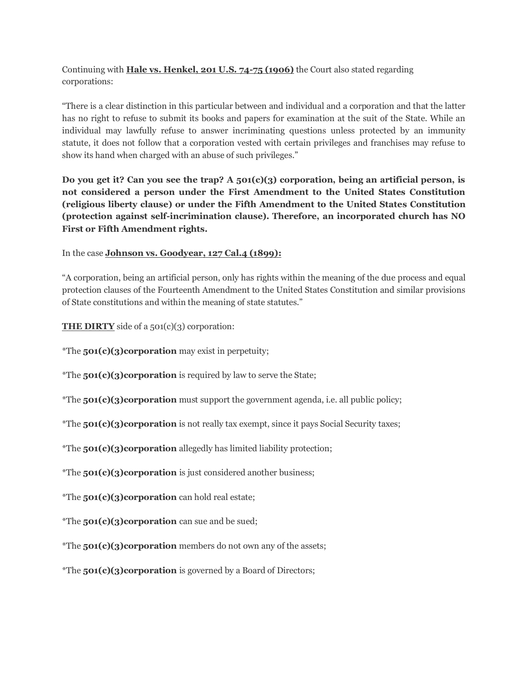Continuing with **Hale vs. Henkel, 201 U.S. 74-75 (1906)** the Court also stated regarding corporations:

"There is a clear distinction in this particular between and individual and a corporation and that the latter has no right to refuse to submit its books and papers for examination at the suit of the State. While an individual may lawfully refuse to answer incriminating questions unless protected by an immunity statute, it does not follow that a corporation vested with certain privileges and franchises may refuse to show its hand when charged with an abuse of such privileges."

**Do you get it? Can you see the trap? A 501(c)(3) corporation, being an artificial person, is not considered a person under the First Amendment to the United States Constitution (religious liberty clause) or under the Fifth Amendment to the United States Constitution (protection against self-incrimination clause). Therefore, an incorporated church has NO First or Fifth Amendment rights.**

In the case **Johnson vs. Goodyear, 127 Cal.4 (1899):**

"A corporation, being an artificial person, only has rights within the meaning of the due process and equal protection clauses of the Fourteenth Amendment to the United States Constitution and similar provisions of State constitutions and within the meaning of state statutes."

**THE DIRTY** side of a 501(c)(3) corporation:

\*The **501(c)(3)corporation** may exist in perpetuity;

\*The **501(c)(3)corporation** is required by law to serve the State;

\*The **501(c)(3)corporation** must support the government agenda, i.e. all public policy;

\*The **501(c)(3)corporation** is not really tax exempt, since it pays Social Security taxes;

\*The **501(c)(3)corporation** allegedly has limited liability protection;

\*The **501(c)(3)corporation** is just considered another business;

\*The **501(c)(3)corporation** can hold real estate;

\*The **501(c)(3)corporation** can sue and be sued;

\*The **501(c)(3)corporation** members do not own any of the assets;

\*The **501(c)(3)corporation** is governed by a Board of Directors;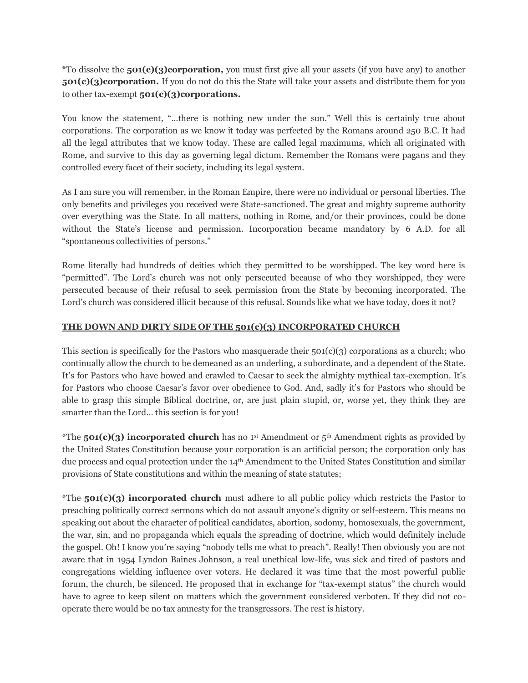\*To dissolve the **501(c)(3)corporation,** you must first give all your assets (if you have any) to another **501(c)(3)corporation.** If you do not do this the State will take your assets and distribute them for you to other tax-exempt **501(c)(3)corporations.**

You know the statement, "…there is nothing new under the sun." Well this is certainly true about corporations. The corporation as we know it today was perfected by the Romans around 250 B.C. It had all the legal attributes that we know today. These are called legal maximums, which all originated with Rome, and survive to this day as governing legal dictum. Remember the Romans were pagans and they controlled every facet of their society, including its legal system.

As I am sure you will remember, in the Roman Empire, there were no individual or personal liberties. The only benefits and privileges you received were State-sanctioned. The great and mighty supreme authority over everything was the State. In all matters, nothing in Rome, and/or their provinces, could be done without the State's license and permission. Incorporation became mandatory by 6 A.D. for all "spontaneous collectivities of persons."

Rome literally had hundreds of deities which they permitted to be worshipped. The key word here is "permitted". The Lord's church was not only persecuted because of who they worshipped, they were persecuted because of their refusal to seek permission from the State by becoming incorporated. The Lord's church was considered illicit because of this refusal. Sounds like what we have today, does it not?

#### **THE DOWN AND DIRTY SIDE OF THE 501(c)(3) INCORPORATED CHURCH**

This section is specifically for the Pastors who masquerade their  $501(c)(3)$  corporations as a church; who continually allow the church to be demeaned as an underling, a subordinate, and a dependent of the State. It's for Pastors who have bowed and crawled to Caesar to seek the almighty mythical tax-exemption. It's for Pastors who choose Caesar's favor over obedience to God. And, sadly it's for Pastors who should be able to grasp this simple Biblical doctrine, or, are just plain stupid, or, worse yet, they think they are smarter than the Lord… this section is for you!

\*The **501(c)(3) incorporated church** has no 1st Amendment or 5th Amendment rights as provided by the United States Constitution because your corporation is an artificial person; the corporation only has due process and equal protection under the 14th Amendment to the United States Constitution and similar provisions of State constitutions and within the meaning of state statutes;

\*The **501(c)(3) incorporated church** must adhere to all public policy which restricts the Pastor to preaching politically correct sermons which do not assault anyone's dignity or self-esteem. This means no speaking out about the character of political candidates, abortion, sodomy, homosexuals, the government, the war, sin, and no propaganda which equals the spreading of doctrine, which would definitely include the gospel. Oh! I know you're saying "nobody tells me what to preach". Really! Then obviously you are not aware that in 1954 Lyndon Baines Johnson, a real unethical low-life, was sick and tired of pastors and congregations wielding influence over voters. He declared it was time that the most powerful public forum, the church, be silenced. He proposed that in exchange for "tax-exempt status" the church would have to agree to keep silent on matters which the government considered verboten. If they did not cooperate there would be no tax amnesty for the transgressors. The rest is history.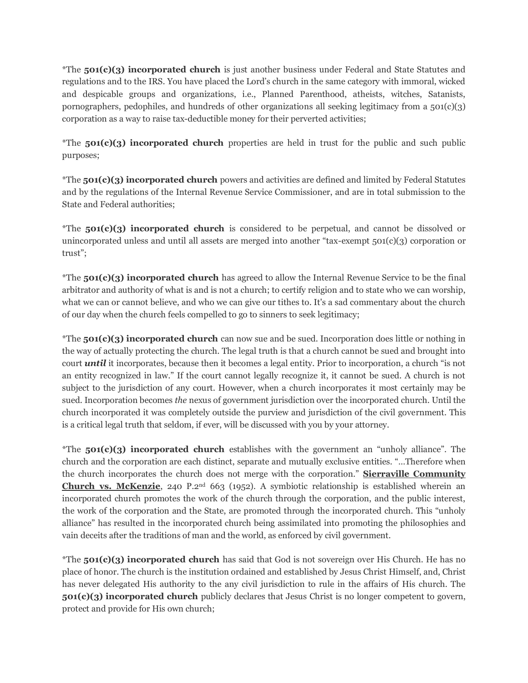\*The **501(c)(3) incorporated church** is just another business under Federal and State Statutes and regulations and to the IRS. You have placed the Lord's church in the same category with immoral, wicked and despicable groups and organizations, i.e., Planned Parenthood, atheists, witches, Satanists, pornographers, pedophiles, and hundreds of other organizations all seeking legitimacy from a  $501(c)(3)$ corporation as a way to raise tax-deductible money for their perverted activities;

\*The **501(c)(3) incorporated church** properties are held in trust for the public and such public purposes;

\*The **501(c)(3) incorporated church** powers and activities are defined and limited by Federal Statutes and by the regulations of the Internal Revenue Service Commissioner, and are in total submission to the State and Federal authorities;

\*The **501(c)(3) incorporated church** is considered to be perpetual, and cannot be dissolved or unincorporated unless and until all assets are merged into another "tax-exempt 501(c)(3) corporation or trust";

\*The **501(c)(3) incorporated church** has agreed to allow the Internal Revenue Service to be the final arbitrator and authority of what is and is not a church; to certify religion and to state who we can worship, what we can or cannot believe, and who we can give our tithes to. It's a sad commentary about the church of our day when the church feels compelled to go to sinners to seek legitimacy;

\*The **501(c)(3) incorporated church** can now sue and be sued. Incorporation does little or nothing in the way of actually protecting the church. The legal truth is that a church cannot be sued and brought into court *until* it incorporates, because then it becomes a legal entity. Prior to incorporation, a church "is not an entity recognized in law." If the court cannot legally recognize it, it cannot be sued. A church is not subject to the jurisdiction of any court. However, when a church incorporates it most certainly may be sued. Incorporation becomes *the* nexus of government jurisdiction over the incorporated church. Until the church incorporated it was completely outside the purview and jurisdiction of the civil government. This is a critical legal truth that seldom, if ever, will be discussed with you by your attorney.

\*The **501(c)(3) incorporated church** establishes with the government an "unholy alliance". The church and the corporation are each distinct, separate and mutually exclusive entities. "…Therefore when the church incorporates the church does not merge with the corporation." **Sierraville Community Church vs. McKenzie**, 240 P.2nd 663 (1952). A symbiotic relationship is established wherein an incorporated church promotes the work of the church through the corporation, and the public interest, the work of the corporation and the State, are promoted through the incorporated church. This "unholy alliance" has resulted in the incorporated church being assimilated into promoting the philosophies and vain deceits after the traditions of man and the world, as enforced by civil government.

\*The **501(c)(3) incorporated church** has said that God is not sovereign over His Church. He has no place of honor. The church is the institution ordained and established by Jesus Christ Himself, and, Christ has never delegated His authority to the any civil jurisdiction to rule in the affairs of His church. The **501(c)(3) incorporated church** publicly declares that Jesus Christ is no longer competent to govern, protect and provide for His own church;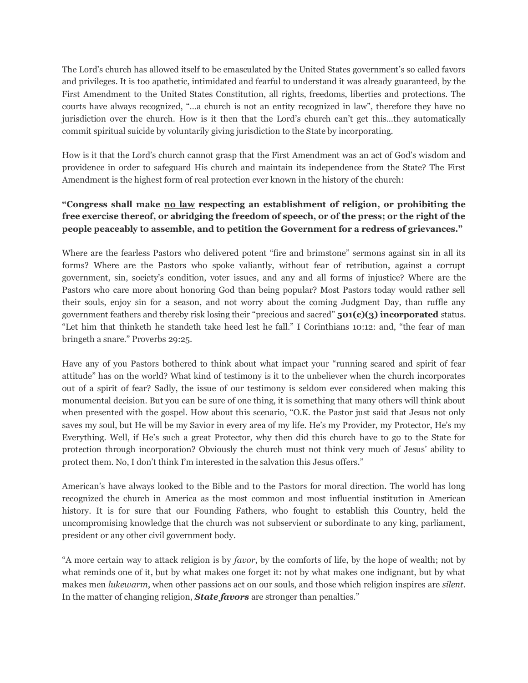The Lord's church has allowed itself to be emasculated by the United States government's so called favors and privileges. It is too apathetic, intimidated and fearful to understand it was already guaranteed, by the First Amendment to the United States Constitution, all rights, freedoms, liberties and protections. The courts have always recognized, "…a church is not an entity recognized in law", therefore they have no jurisdiction over the church. How is it then that the Lord's church can't get this…they automatically commit spiritual suicide by voluntarily giving jurisdiction to the State by incorporating.

How is it that the Lord's church cannot grasp that the First Amendment was an act of God's wisdom and providence in order to safeguard His church and maintain its independence from the State? The First Amendment is the highest form of real protection ever known in the history of the church:

# **"Congress shall make no law respecting an establishment of religion, or prohibiting the free exercise thereof, or abridging the freedom of speech, or of the press; or the right of the people peaceably to assemble, and to petition the Government for a redress of grievances."**

Where are the fearless Pastors who delivered potent "fire and brimstone" sermons against sin in all its forms? Where are the Pastors who spoke valiantly, without fear of retribution, against a corrupt government, sin, society's condition, voter issues, and any and all forms of injustice? Where are the Pastors who care more about honoring God than being popular? Most Pastors today would rather sell their souls, enjoy sin for a season, and not worry about the coming Judgment Day, than ruffle any government feathers and thereby risk losing their "precious and sacred" **501(c)(3) incorporated** status. "Let him that thinketh he standeth take heed lest he fall." I Corinthians 10:12: and, "the fear of man bringeth a snare." Proverbs 29:25.

Have any of you Pastors bothered to think about what impact your "running scared and spirit of fear attitude" has on the world? What kind of testimony is it to the unbeliever when the church incorporates out of a spirit of fear? Sadly, the issue of our testimony is seldom ever considered when making this monumental decision. But you can be sure of one thing, it is something that many others will think about when presented with the gospel. How about this scenario, "O.K. the Pastor just said that Jesus not only saves my soul, but He will be my Savior in every area of my life. He's my Provider, my Protector, He's my Everything. Well, if He's such a great Protector, why then did this church have to go to the State for protection through incorporation? Obviously the church must not think very much of Jesus' ability to protect them. No, I don't think I'm interested in the salvation this Jesus offers."

American's have always looked to the Bible and to the Pastors for moral direction. The world has long recognized the church in America as the most common and most influential institution in American history. It is for sure that our Founding Fathers, who fought to establish this Country, held the uncompromising knowledge that the church was not subservient or subordinate to any king, parliament, president or any other civil government body.

"A more certain way to attack religion is by *favor*, by the comforts of life, by the hope of wealth; not by what reminds one of it, but by what makes one forget it: not by what makes one indignant, but by what makes men *lukewarm*, when other passions act on our souls, and those which religion inspires are *silent*. In the matter of changing religion, *State favors* are stronger than penalties."